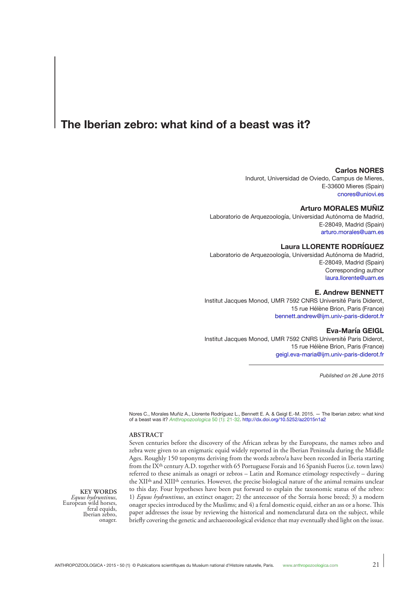# **The Iberian zebro: what kind of a beast was it?**

# **Carlos NORES**

Indurot, Universidad de Oviedo, Campus de Mieres, E-33600 Mieres (Spain) [cnores@uniovi.es](mailto:cnores@uniovi.es)

#### **Arturo MORALES MUÑIZ**

Laboratorio de Arquezoología, Universidad Autónoma de Madrid, E-28049, Madrid (Spain) [arturo.morales@uam.es](mailto:arturo.morales@uam.es)

## **Laura LLORENTE RODRÍGUEZ**

Laboratorio de Arquezoología, Universidad Autónoma de Madrid, E-28049, Madrid (Spain) Corresponding author [laura.llorente@uam.es](mailto:laura.llorente@uam.es)

# **E. Andrew BENNETT**

Institut Jacques Monod, UMR 7592 CNRS Université Paris Diderot, 15 rue Hélène Brion, Paris (France) [bennett.andrew@ijm.univ-paris-diderot.fr](mailto:bennett.andrew@ijm.univ-paris-diderot.fr)

#### **Eva-María GEIGL**

Institut Jacques Monod, UMR 7592 CNRS Université Paris Diderot, 15 rue Hélène Brion, Paris (France) [geigl.eva-maria@ijm.univ-paris-diderot.fr](mailto:geigl.eva-maria%40ijm.univ-paris-diderot.fr%20?subject=)

*Published on 26 June 2015*

Nores C., Morales Muñiz A., Llorente Rodríguez L., Bennett E. A. & Geigl E.-M. 2015. — The Iberian zebro: what kind of a beast was it? *[Anthropozoologica](http://sciencepress.mnhn.fr/en/periodiques/anthropozoologica/50/1/le-zebre-iberique-de-quel-animal-s-agit-il)* 50 (1): 21-32. <http://dx.doi.org/10.5252/az2015n1a2>

## **ABSTRACT**

Seven centuries before the discovery of the African zebras by the Europeans, the names zebro and zebra were given to an enigmatic equid widely reported in the Iberian Peninsula during the Middle Ages. Roughly 150 toponyms deriving from the words zebro/a have been recorded in Iberia starting from the IX<sup>th</sup> century A.D. together with 65 Portuguese Forais and 16 Spanish Fueros (i.e. town laws) referred to these animals as onagri or zebros – Latin and Romance etimology respectively – during the XIIth and XIIIth centuries. However, the precise biological nature of the animal remains unclear to this day. Four hypotheses have been put forward to explain the taxonomic status of the zebro: 1) *Equus hydruntinus*, an extinct onager; 2) the antecessor of the Sorraia horse breed; 3) a modern onager species introduced by the Muslims; and 4) a feral domestic equid, either an ass or a horse. This paper addresses the issue by reviewing the historical and nomenclatural data on the subject, while briefly covering the genetic and archaeozoological evidence that may eventually shed light on the issue.

**KEY WORDS**<br>*Equus hydruntinus*, *Equus hydruntinus*, European wild horses, feral equids, Iberian zebro, onager.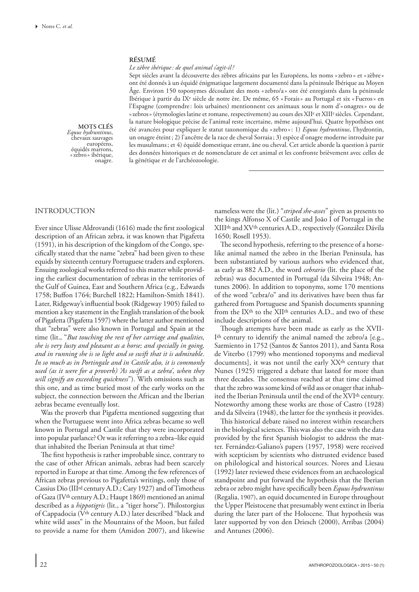## **RÉSUMÉ**

## *Le zèbre ibérique: de quel animal s'agit-il?*

Sept siècles avant la découverte des zèbres africains par les Européens, les noms «zebro » et «zèbre» ont été donnés à un équidé énigmatique largement documenté dans la péninsule Ibérique au Moyen Âge. Environ 150 toponymes découlant des mots «zebro/a » ont été enregistrés dans la péninsule Ibérique à partir du IXe siècle de notre ère. De même, 65 «Forais» au Portugal et six «Fueros» en l'Espagne (comprendre: lois urbaines) mentionnent ces animaux sous le nom d'« onagres» ou de «zebros» (étymologies latine et romane, respectivement) au cours des XII<sup>e</sup> et XIII<sup>e</sup> siècles. Cependant, la nature biologique précise de l'animal reste incertaine, même aujourd'hui. Quatre hypothèses ont été avancées pour expliquer le statut taxonomique du «zebro »: 1) *Equus hydruntinus*, l'hydrontin, un onagre éteint; 2) l'ancêtre de la race de cheval Sorraia ; 3) espèce d'onagre moderne introduite par les musulmans; et 4) équidé domestique errant, âne ou cheval. Cet article aborde la question à partir des données historiques et de nomenclature de cet animal et les confronte brièvement avec celles de la génétique et de l'archéozoologie.

**MOTS CLÉS**<br>*Equus hydruntinus*, *Equus hydruntinus*, chevaux sauvages européens, équidés marrons, «zebro » ibérique, onagre.

# INTRODUCTION

Ever since Ulisse Aldrovandi (1616) made the first zoological description of an African zebra, it was known that Pigafetta (1591), in his description of the kingdom of the Congo, specifically stated that the name "zebra" had been given to these equids by sixteenth century Portuguese traders and explorers. Ensuing zoological works referred to this matter while providing the earliest documentation of zebras in the territories of the Gulf of Guinea, East and Southern Africa (e.g., Edwards 1758; Buffon 1764; Burchell 1822; Hamilton-Smith 1841). Later, Ridgeway's influential book (Ridgeway 1905) failed to mention a key statement in the English translation of the book of Pigafetta (Pigafetta 1597) where the latter author mentioned that "zebras" were also known in Portugal and Spain at the time (lit., "*But touching the rest of her carriage and qualities, she is very lusty and pleasant as a horse; and specially in going, and in running she is so light and so swift that it is admirable. In so much as in Portingale and in Castile also, it is commonly used (as it were for a proverb) 'As swift as a zebra', when they will signify an exceeding quickness*"). With omissions such as this one, and as time buried most of the early works on the subject, the connection between the African and the Iberian zebras became eventually lost.

Was the proverb that Pigafetta mentioned suggesting that when the Portuguese went into Africa zebras became so well known in Portugal and Castile that they were incorporated into popular parlance? Or was it referring to a zebra–like equid that inhabited the Iberian Peninsula at that time?

The first hypothesis is rather improbable since, contrary to the case of other African animals, zebras had been scarcely reported in Europe at that time. Among the few references of African zebras previous to Pigafetta's writings, only those of Cassius Dio (IIIrd century A.D.; Cary 1927) and of Timotheus of Gaza (IVth century A.D.; Haupt 1869) mentioned an animal described as a *hippotigris* (lit., a "tiger horse"). Philostorgius of Cappadocia (Vth century A.D.) later described "black and white wild asses" in the Mountains of the Moon, but failed to provide a name for them (Amidon 2007), and likewise

nameless were the (lit.) "*striped she-asses*" given as presents to the kings Alfonso X of Castile and João I of Portugal in the XIIIth and XVth centuries A.D., respectively (González Dávila 1650; Rosell 1953).

The second hypothesis, referring to the presence of a horselike animal named the zebro in the Iberian Peninsula, has been substantiated by various authors who evidenced that, as early as 882 A.D., the word *cebrario* (lit. the place of the zebras) was documented in Portugal (da Silveira 1948; Antunes 2006). In addition to toponyms, some 170 mentions of the word "cebra/o" and its derivatives have been thus far gathered from Portuguese and Spanish documents spanning from the IXth to the XIIth centuries A.D., and two of these include descriptions of the animal.

Though attempts have been made as early as the XVII-Ith century to identify the animal named the zebro/a [e.g., Sarmiento in 1752 (Santos & Santos 2011), and Santa Rosa de Viterbo (1799) who mentioned toponyms and medieval documents], it was not until the early XX<sup>th</sup> century that Nunes (1925) triggered a debate that lasted for more than three decades. The consensus reached at that time claimed that the zebro was some kind of wild ass or onager that inhabited the Iberian Peninsula until the end of the XVIth century. Noteworthy among these works are those of Castro (1928) and da Silveira (1948), the latter for the synthesis it provides.

This historical debate raised no interest within researchers in the biological sciences. This was also the case with the data provided by the first Spanish biologist to address the matter. Fernández-Galiano's papers (1957, 1958) were received with scepticism by scientists who distrusted evidence based on philological and historical sources. Nores and Liesau (1992) later reviewed these evidences from an archaeological standpoint and put forward the hypothesis that the Iberian zebra or zebro might have specifically been *Equus hydruntinus*  (Regalia, 1907), an equid documented in Europe throughout the Upper Pleistocene that presumably went extinct in Iberia during the later part of the Holocene. That hypothesis was later supported by von den Driesch (2000), Arribas (2004) and Antunes (2006).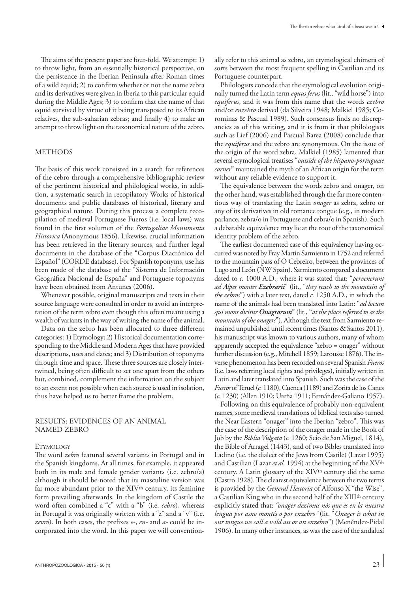The aims of the present paper are four-fold. We attempt: 1) to throw light, from an essentially historical perspective, on the persistence in the Iberian Peninsula after Roman times of a wild equid; 2) to confirm whether or not the name zebra and its derivatives were given in Iberia to this particular equid during the Middle Ages; 3) to confirm that the name of that equid survived by virtue of it being transposed to its African relatives, the sub-saharian zebras; and finally 4) to make an attempt to throw light on the taxonomical nature of the zebro.

# **METHODS**

The basis of this work consisted in a search for references of the cebro through a comprehensive bibliographic review of the pertinent historical and philological works, in addition, a systematic search in recopilatory Works of historical documents and public databases of historical, literary and geographical nature. During this process a complete recopilation of medieval Portuguese Fueros (i.e. local laws) was found in the first volumen of the *Portugaliae Monumenta Historica* (Anonymous 1856). Likewise, crucial information has been retrieved in the literary sources, and further legal documents in the database of the "Corpus Diacrónico del Español" (CORDE database). For Spanish toponyms, use has been made of the database of the "Sistema de Información Geográfica Nacional de España" and Portuguese toponyms have been obtained from Antunes (2006).

Whenever possible, original manuscripts and texts in their source language were consulted in order to avoid an interpretation of the term zebro even though this often meant using a wealth of variants in the way of writing the name of the animal.

Data on the zebro has been allocated to three different categories: 1) Etymology; 2) Historical documentation corresponding to the Middle and Modern Ages that have provided descriptions, uses and dates; and 3) Distribution of toponyms through time and space. These three sources are closely intertwined, being often difficult to set one apart from the others but, combined, complement the information on the subject to an extent not possible when each source is used in isolation, thus have helped us to better frame the problem.

# RESULTS: EVIDENCES OF AN ANIMAL NAMED ZEBRO

#### **ETYMOLOGY**

The word *zebro* featured several variants in Portugal and in the Spanish kingdoms. At all times, for example, it appeared both in its male and female gender variants (i.e. zebro/a) although it should be noted that its masculine version was far more abundant prior to the XIV<sup>th</sup> century, its feminine form prevailing afterwards. In the kingdom of Castile the word often combined a "c" with a "b" (i.e. *cebro*), whereas in Portugal it was originally written with a "z" and a "v" (i.e. *zevro*). In both cases, the prefixes *e-*, *en-* and *a-* could be incorporated into the word. In this paper we will conventionally refer to this animal as zebro, an etymological chimera of sorts between the most frequent spelling in Castilian and its Portuguese counterpart.

Philologists concede that the etymological evolution originally turned the Latin term *equus ferus* (lit., "wild horse") into *equiferus*, and it was from this name that the words *ezebro* and/or *enzebro* derived (da Silveira 1948; Malkiel 1985; Corominas & Pascual 1989). Such consensus finds no discrepancies as of this writing, and it is from it that philologists such as Lief (2006) and Pascual Barea (2008) conclude that the *equiferus* and the zebro are synonymous. On the issue of the origin of the word zebra, Malkiel (1985) lamented that several etymological treatises "*outside of the hispano-portuguese corner*" maintained the myth of an African origin for the term without any reliable evidence to support it.

The equivalence between the words zebro and onager, on the other hand, was established through the far more contentious way of translating the Latin *onager* as zebra, zebro or any of its derivatives in old romance tongue (e.g., in modern parlance, zebra/o in Portuguese and cebra/o in Spanish). Such a debatable equivalence may lie at the root of the taxonomical identity problem of the zebro.

The earliest documented case of this equivalency having occurred was noted by Fray Martin Sarmiento in 1752 and referred to the mountain pass of O Cebreiro, between the provinces of Lugo and León (NW Spain). Sarmiento compared a document dated to *c.* 1000 A.D., where it was stated that: "*pervenerunt ad Alpes montes Ezebrarii*" (lit., "*they reach to the mountain of the zebros*") with a later text, dated *c.* 1250 A.D., in which the name of the animals had been translated into Latin: "*ad locum qui mons dicitur Onagrorum*" (lit., "*at the place referred to as the mountain of the onagers*"). Although the text from Sarmiento remained unpublished until recent times (Santos & Santos 2011), his manuscript was known to various authors, many of whom apparently accepted the equivalence "zebro = onager" without further discussion (e.g., Mitchell 1859; Larousse 1876). The inverse phenomenon has been recorded on several Spanish *Fueros* (i.e. laws referring local rights and privileges), initially written in Latin and later translated into Spanish. Such was the case of the *Fueros* of Teruel(*c.* 1180), Cuenca (1189) and Zorita de los Canes (*c.* 1230) (Allen 1910; Ureña 1911; Fernández-Galiano 1957).

Following on this equivalence of probably non-equivalent names, some medieval translations of biblical texts also turned the Near Eastern "onager" into the Iberian "zebro". This was the case of the description of the onager made in the Book of Job by the *Biblia Vulgata* (*c.* 1260; Scio de San Miguel, 1814), the Bible of Arragel (1443), and of two Bibles translated into Ladino (i.e. the dialect of the Jews from Castile) (Lazar 1995) and Castilian (Lazar *et al.* 1994) at the beginning of the XVth century. A Latin glossary of the XIV<sup>th</sup> century did the same (Castro 1928). The clearest equivalence between the two terms is provided by the *General Hestoria* of Alfonso X "the Wise", a Castilian King who in the second half of the XIIIth century explicitly stated that: *"onager dezimus nós que es en la nuestra lengua por asno montés o por enzebro"* (lit. "*Onager is what in our tongue we call a wild ass or an enzebro*") (Menéndez-Pidal 1906). In many other instances, as was the case of the andalusí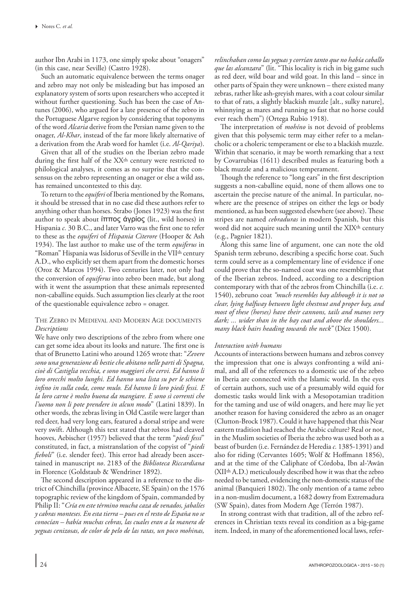author Ibn Arabi in 1173, one simply spoke about "onagers" (in this case, near Seville) (Castro 1928).

Such an automatic equivalence between the terms onager and zebro may not only be misleading but has imposed an explanatory system of sorts upon researchers who accepted it without further questioning. Such has been the case of Antunes (2006), who argued for a late presence of the zebro in the Portuguese Algarve region by considering that toponyms of the word *Alcaria* derive from the Persian name given to the onager, *Al*-*Khar*, instead of the far more likely alternative of a derivation from the Arab word for hamlet (i.e. *Al*-*Qariya*).

Given that all of the studies on the Iberian zebro made during the first half of the XX<sup>th</sup> century were restricted to philological analyses, it comes as no surprise that the consensus on the zebro representing an onager or else a wild ass, has remained uncontested to this day.

To return to the *equiferi* of Iberia mentioned by the Romans, it should be stressed that in no case did these authors refer to anything other than horses. Strabo (Jones 1923) was the first author to speak about ίππος άγρίος (lit., wild horses) in Hispania *c.* 30 B.C., and later Varro was the first one to refer to these as the *equiferi* of *Hispania Citerore* (Hooper & Ash 1934). The last author to make use of the term *equiferus* in "Roman" Hispania was Isidorus of Seville in the VIIth century A.D., who explicitly set them apart from the domestic horses (Oroz & Marcos 1994). Two centuries later, not only had the conversion of *equiferus* into zebro been made, but along with it went the assumption that these animals represented non-caballine equids. Such assumption lies clearly at the root of the questionable equivalence zebro = onager.

# The Zebro in Medieval and Modern Age documents *Descriptions*

We have only two descriptions of the zebro from where one can get some idea about its looks and nature. The first one is that of Brunetto Latini who around 1265 wrote that: "*Zevere sono una generazione di bestie che abitano nelle parti di Spagna, cioè di Castiglia vecchia, e sono maggiori che cervi. Ed hanno li loro orecchi molto lunghi. Ed hanno una lista su per le schiene infino in sulla coda, come mulo. Ed hanno li loro piedi fessi. E la loro carne è molto buona da mangiare. E sono sì correnti che l'uomo non li pote prendere in alcun modo*" (Latini 1839). In other words, the zebras living in Old Castile were larger than red deer, had very long ears, featured a dorsal stripe and were very swift. Although this text stated that zebros had cleaved hooves, Aebischer (1957) believed that the term "*piedi fessi*" constituted, in fact, a mistranslation of the copyist of "*piedi fieboli*" (i.e. slender feet). This error had already been ascertained in manuscript *no*. 2183 of the *Biblioteca Riccardiana* in Florence (Goldstaub & Wendriner 1892).

The second description appeared in a reference to the district of Chinchilla (province Albacete, SE Spain) on the 1576 topographic review of the kingdom of Spain, commanded by Philip II: "*Cría en este término mucha caza de venados, jabalíes y cabras monteses. En esta tierra – pues en el resto de España no se conocían – había muchas cebras, las cuales eran a la manera de yeguas cenizosas, de color de pelo de las ratas, un poco mohinas,* 

*relinchaban como las yeguas y corrían tanto que no había caballo que las alcanzara*" (lit. "This locality is rich in big game such as red deer, wild boar and wild goat. In this land – since in other parts of Spain they were unknown – there existed many zebras, rather like ash-greyish mares, with a coat colour similar to that of rats, a slightly blackish muzzle [alt., sulky nature], whinnying as mares and running so fast that no horse could ever reach them") (Ortega Rubio 1918).

The interpretation of *mohíno* is not devoid of problems given that this polysemic term may either refer to a melancholic or a choleric temperament or else to a blackish muzzle. Within that scenario, it may be worth remarking that a text by Covarrubias (1611) described mules as featuring both a black muzzle and a malicious temperament.

Though the reference to "long ears" in the first description suggests a non-caballine equid, none of them allows one to ascertain the precise nature of the animal. In particular, nowhere are the presence of stripes on either the legs or body mentioned, as has been suggested elsewhere (see above). These stripes are named *cebraduras* in modern Spanish, but this word did not acquire such meaning until the XIX<sup>th</sup> century (e.g., Pagnier 1821).

Along this same line of argument, one can note the old Spanish term zebruno, describing a specific horse coat. Such term could serve as a complementary line of evidence if one could prove that the so-named coat was one resembling that of the Iberian zebros. Indeed, according to a description contemporary with that of the zebros from Chinchilla (i.e. *c.* 1540), zebruno coat *"much resembles bay although it is not so clear, lying halfway between light chestnut and proper bay, and most of these (horses) have their cannons, tails and manes very dark; ... wider than in the bay coat and above the shoulders... many black hairs heading towards the neck"* (Díez 1500).

## *Interaction with humans*

Accounts of interactions between humans and zebros convey the impression that one is always confronting a wild animal, and all of the references to a domestic use of the zebro in Iberia are connected with the Islamic world. In the eyes of certain authors, such use of a presumably wild equid for domestic tasks would link with a Mesopotamian tradition for the taming and use of wild onagers, and here may lie yet another reason for having considered the zebro as an onager (Clutton-Brock 1987). Could it have happened that this Near eastern tradition had reached the Arabic culture? Real or not, in the Muslim societies of Iberia the zebro was used both as a beast of burden (i.e. Fernández de Heredia *c.* 1385-1391) and also for riding (Cervantes 1605; Wolf & Hoffmann 1856), and at the time of the Caliphate of Córdoba, Ibn al-'Awān (XIIth A.D.) meticulously described how it was that the zebro needed to be tamed, evidencing the non-domestic status of the animal (Banquieri 1802). The only mention of a tame zebro in a non-muslim document, a 1682 dowry from Extremadura (SW Spain), dates from Modern Age (Terrón 1987).

In strong contrast with that tradition, all of the zebro references in Christian texts reveal its condition as a big-game item. Indeed, in many of the aforementioned local laws, refer-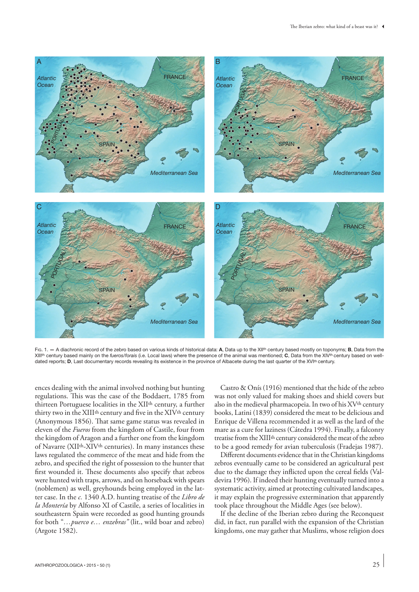

Fig. 1. **—** A diachronic record of the zebro based on various kinds of historical data: **A**, Data up to the XIIth century based mostly on toponyms; **B**, Data from the XIIIth century based mainly on the *fueros*/*forais* (i.e. Local laws) where the presence of the animal was mentioned; **C**, Data from the XIVth century based on welldated reports; **D**, Last documentary records revealing its existence in the province of Albacete during the last quarter of the XVIth century.

ences dealing with the animal involved nothing but hunting regulations. This was the case of the Boddaert, 1785 from thirteen Portuguese localities in the XIIth century, a further thirty two in the XIII<sup>th</sup> century and five in the XIV<sup>th</sup> century (Anonymous 1856). That same game status was revealed in eleven of the *Fueros* from the kingdom of Castile, four from the kingdom of Aragon and a further one from the kingdom of Navarre (XIIth-XIVth centuries). In many instances these laws regulated the commerce of the meat and hide from the zebro, and specified the right of possession to the hunter that first wounded it. These documents also specify that zebros were hunted with traps, arrows, and on horseback with spears (noblemen) as well, greyhounds being employed in the latter case. In the *c.* 1340 A.D. hunting treatise of the *Libro de la Montería* by Alfonso XI of Castile, a series of localities in southeastern Spain were recorded as good hunting grounds for both "*…puerco e… enzebras"* (lit., wild boar and zebro) (Argote 1582).

Castro & Onís (1916) mentioned that the hide of the zebro was not only valued for making shoes and shield covers but also in the medieval pharmacopeia. In two of his XV<sup>th</sup> century books, Latini (1839) considered the meat to be delicious and Enrique de Villena recommended it as well as the lard of the mare as a cure for laziness (Cátedra 1994). Finally, a falconry treatise from the XIIIth century considered the meat of the zebro to be a good remedy for avian tuberculosis (Fradejas 1987).

Different documents evidence that in the Christian kingdoms zebros eventually came to be considered an agricultural pest due to the damage they inflicted upon the cereal fields (Valdevira 1996). If indeed their hunting eventually turned into a systematic activity, aimed at protecting cultivated landscapes, it may explain the progressive extermination that apparently took place throughout the Middle Ages (see below).

If the decline of the Iberian zebro during the Reconquest did, in fact, run parallel with the expansion of the Christian kingdoms, one may gather that Muslims, whose religion does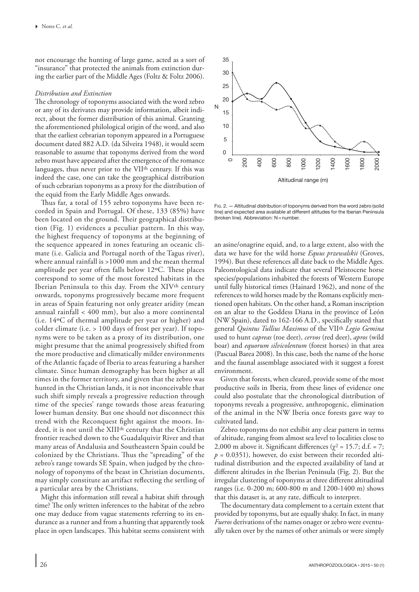not encourage the hunting of large game, acted as a sort of "insurance" that protected the animals from extinction during the earlier part of the Middle Ages (Foltz & Foltz 2006).

## *Distribution and Extinction*

The chronology of toponyms associated with the word zebro or any of its derivates may provide information, albeit indirect, about the former distribution of this animal. Granting the aforementioned philological origin of the word, and also that the earliest cebrarian toponym appeared in a Portuguese document dated 882 A.D. (da Silveira 1948), it would seem reasonable to assume that toponyms derived from the word zebro must have appeared after the emergence of the romance languages, thus never prior to the VII<sup>th</sup> century. If this was indeed the case, one can take the geographical distribution of such cebrarian toponyms as a proxy for the distribution of the equid from the Early Middle Ages onwards.

Thus far, a total of 155 zebro toponyms have been recorded in Spain and Portugal. Of these, 133 (85%) have been located on the ground. Their geographical distribution (Fig. 1) evidences a peculiar pattern. In this way, the highest frequency of toponyms at the beginning of the sequence appeared in zones featuring an oceanic climate (i.e. Galicia and Portugal north of the Tagus river), where annual rainfall is >1000 mm and the mean thermal amplitude per year often falls below 12ºC. These places correspond to some of the most forested habitats in the Iberian Peninsula to this day. From the XIVth century onwards, toponyms progressively became more frequent in areas of Spain featuring not only greater aridity (mean annual rainfall < 400 mm), but also a more continental (i.e. 14ºC of thermal amplitude per year or higher) and colder climate (i.e. > 100 days of frost per year). If toponyms were to be taken as a proxy of its distribution, one might presume that the animal progressively shifted from the more productive and climatically milder environments of the Atlantic façade of Iberia to areas featuring a harsher climate. Since human demography has been higher at all times in the former territory, and given that the zebro was hunted in the Christian lands, it is not inconceivable that such shift simply reveals a progressive reduction through time of the species' range towards those areas featuring lower human density. But one should not disconnect this trend with the Reconquest fight against the moors. Indeed, it is not until the XIIIth century that the Christian frontier reached down to the Guadalquivir River and that many areas of Andalusia and Southeastern Spain could be colonized by the Christians. Thus the "spreading" of the zebro's range towards SE Spain, when judged by the chronology of toponyms of the beast in Christian documents, may simply constitute an artifact reflecting the settling of a particular area by the Christians.

Might this information still reveal a habitat shift through time? The only written inferences to the habitat of the zebro one may deduce from vague statements referring to its endurance as a runner and from a hunting that apparently took place in open landscapes. This habitat seems consistent with



Fig.  $2 -$  Altitudinal distribution of toponyms derived from the word zebro (solid line) and expected area available at different altitudes for the Iberian Peninsula (broken line). Abbreviation: N=number.

an asine/onagrine equid, and, to a large extent, also with the data we have for the wild horse *Equus przewalskii* (Groves, 1994). But these references all date back to the Middle Ages. Paleontological data indicate that several Pleistocene horse species/populations inhabited the forests of Western Europe until fully historical times (Hainard 1962), and none of the references to wild horses made by the Romans explicitly mentioned open habitats. On the other hand, a Roman inscription on an altar to the Goddess Diana in the province of León (NW Spain), dated to 162-166 A.D., specifically stated that general *Quintus Tullius Maximus* of the VIIth *Legio Gemina* used to hunt *capreas* (roe deer), *cervos* (red deer), *apros* (wild boar) and *equorum silvicolentum* (forest horses) in that area (Pascual Barea 2008). In this case, both the name of the horse and the faunal assemblage associated with it suggest a forest environment.

Given that forests, when cleared, provide some of the most productive soils in Iberia, from these lines of evidence one could also postulate that the chronological distribution of toponyms reveals a progressive, anthropogenic, elimination of the animal in the NW Iberia once forests gave way to cultivated land.

Zebro toponyms do not exhibit any clear pattern in terms of altitude, ranging from almost sea level to localities close to 2,000 m above it. Significant differences ( $\chi^2$  = 15.7; d.f. = 7;  $p = 0.0351$ ), however, do exist between their recorded altitudinal distribution and the expected availability of land at different altitudes in the Iberian Peninsula (Fig. 2). But the irregular clustering of toponyms at three different altitudinal ranges (i.e. 0-200 m; 600-800 m and 1200-1400 m) shows that this dataset is, at any rate, difficult to interpret.

The documentary data complement to a certain extent that provided by toponyms, but are equally shaky. In fact, in many *Fueros* derivations of the names onager or zebro were eventually taken over by the names of other animals or were simply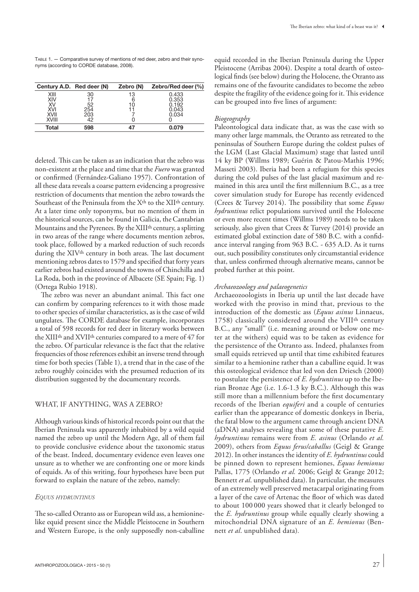Table 1. — Comparative survey of mentions of red deer, zebro and their synonyms (according to CORDE database, 2008).

|             | Century A.D. Red deer (N) | Zebro (N) | Zebro/Red deer $(\%)$ |
|-------------|---------------------------|-----------|-----------------------|
| XIII<br>XIV | 30<br>17                  | 13<br>6   | 0.433<br>0.353        |
| XV<br>XVI   | 52<br>254                 | 10        | 0.192<br>0.043        |
| <b>XVII</b> | 203                       |           | 0.034                 |
| XVIII       | 12                        |           |                       |
| Total       | 598                       |           | 0.079                 |

deleted. This can be taken as an indication that the zebro was non-existent at the place and time that the *Fuero* was granted or confirmed (Fernández-Galiano 1957). Confrontation of all these data reveals a coarse pattern evidencing a progressive restriction of documents that mention the zebro towards the Southeast of the Peninsula from the X<sup>th</sup> to the XII<sup>th</sup> century. At a later time only toponyms, but no mention of them in the historical sources, can be found in Galicia, the Cantabrian Mountains and the Pyrenees. By the XIIIth century, a splitting in two areas of the range where documents mention zebros, took place, followed by a marked reduction of such records during the XIV<sup>th</sup> century in both areas. The last document mentioning zebros dates to 1579 and specified that forty years earlier zebros had existed around the towns of Chinchilla and La Roda, both in the province of Albacete (SE Spain; Fig. 1) (Ortega Rubio 1918).

The zebro was never an abundant animal. This fact one can confirm by comparing references to it with those made to other species of similar characteristics, as is the case of wild ungulates. The CORDE database for example, incorporates a total of 598 records for red deer in literary works between the XIIIth and XVIIth centuries compared to a mere of 47 for the zebro. Of particular relevance is the fact that the relative frequencies of those references exhibit an inverse trend through time for both species (Table 1), a trend that in the case of the zebro roughly coincides with the presumed reduction of its distribution suggested by the documentary records.

## WHAT, IF ANYTHING, WAS A ZEBRO?

Although various kinds of historical records point out that the Iberian Peninsula was apparently inhabited by a wild equid named the zebro up until the Modern Age, all of them fail to provide conclusive evidence about the taxonomic status of the beast. Indeed, documentary evidence even leaves one unsure as to whether we are confronting one or more kinds of equids. As of this writing, four hypotheses have been put forward to explain the nature of the zebro, namely:

## *Equus hydruntinus*

The so-called Otranto ass or European wild ass, a hemioninelike equid present since the Middle Pleistocene in Southern and Western Europe, is the only supposedly non-caballine

equid recorded in the Iberian Peninsula during the Upper Pleistocene (Arribas 2004). Despite a total dearth of osteological finds (see below) during the Holocene, the Otranto ass remains one of the favourite candidates to become the zebro despite the fragility of the evidence going for it. This evidence can be grouped into five lines of argument:

## *Biogeography*

Paleontological data indicate that, as was the case with so many other large mammals, the Otranto ass retreated to the peninsulas of Southern Europe during the coldest pulses of the LGM (Last Glacial Maximum) stage that lasted until 14 ky BP (Willms 1989; Guérin & Patou-Mathis 1996; Masseti 2003). Iberia had been a refugium for this species during the cold pulses of the last glacial maximum and remained in this area until the first millennium B.C., as a tree cover simulation study for Europe has recently evidenced (Crees & Turvey 2014). The possibility that some *Equus hydruntinus* relict populations survived until the Holocene or even more recent times (Willms 1989) needs to be taken seriously, also given that Crees & Turvey (2014) provide an estimated global extinction date of 580 B.C. with a confidance interval ranging from 963 B.C. - 635 A.D. As it turns out, such possibility constitutes only circumstantial evidence that, unless confirmed through alternative means, cannot be probed further at this point.

## *Archaeozoology and palaeogenetics*

Archaeozoologists in Iberia up until the last decade have worked with the proviso in mind that, previous to the introduction of the domestic ass (*Equus asinus* Linnaeus, 1758) classically considered around the VIIIth century B.C., any "small" (i.e. meaning around or below one meter at the withers) equid was to be taken as evidence for the persistence of the Otranto ass. Indeed, phalanxes from small equids retrieved up until that time exhibited features similar to a hemionine rather than a caballine equid. It was this osteological evidence that led von den Driesch (2000) to postulate the persistence of *E. hydruntinus* up to the Iberian Bronze Age (i.e. 1.6-1.3 ky B.C.). Although this was still more than a millennium before the first documentary records of the Iberian *equiferi* and a couple of centuries earlier than the appearance of domestic donkeys in Iberia, the fatal blow to the argument came through ancient DNA (aDNA) analyses revealing that some of these putative *E. hydruntinus* remains were from *E. asinus* (Orlando *et al.* 2009), others from *Equus ferus/caballus* (Geigl & Grange 2012). In other instances the identity of *E. hydruntinus* could be pinned down to represent hemiones, *Equus hemionus* Pallas, 1775 (Orlando *et al.* 2006; Geigl & Grange 2012; Bennett *et al*. unpublished data). In particular, the measures of an extremely well preserved metacarpal originating from a layer of the cave of Artenac the floor of which was dated to about 100 000 years showed that it clearly belonged to the *E. hydruntinus* group while equally clearly showing a mitochondrial DNA signature of an *E. hemionus* (Bennett *et al*. unpublished data)*.*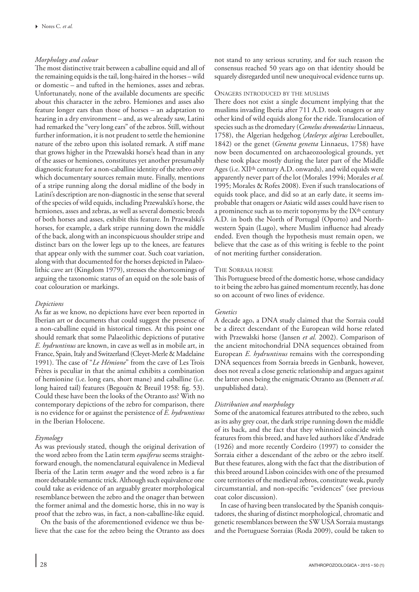# *Morphology and colour*

The most distinctive trait between a caballine equid and all of the remaining equids is the tail, long-haired in the horses –wild or domestic – and tufted in the hemiones, asses and zebras. Unfortunately, none of the available documents are specific about this character in the zebro. Hemiones and asses also feature longer ears than those of horses – an adaptation to hearing in a dry environment – and, as we already saw, Latini had remarked the "very long ears" of the zebros. Still, without further information, it is not prudent to settle the hemionine nature of the zebro upon this isolated remark. A stiff mane that grows higher in the Przewalski horse's head than in any of the asses or hemiones, constitutes yet another presumably diagnostic feature for a non-caballine identity of the zebro over which documentary sources remain mute. Finally, mentions of a stripe running along the dorsal midline of the body in Latini's description are non-diagnostic in the sense that several of the species of wild equids, including Przewalski's horse, the hemiones, asses and zebras, as well as several domestic breeds of both horses and asses, exhibit this feature. In Przewalski's horses, for example, a dark stripe running down the middle of the back, along with an inconspicuous shoulder stripe and distinct bars on the lower legs up to the knees, are features that appear only with the summer coat. Such coat variation, along with that documented for the horses depicted in Palaeolithic cave art (Kingdom 1979), stresses the shortcomings of arguing the taxonomic status of an equid on the sole basis of coat colouration or markings.

# *Depictions*

As far as we know, no depictions have ever been reported in Iberian art or documents that could suggest the presence of a non-caballine equid in historical times. At this point one should remark that some Palaeolithic depictions of putative *E. hydruntinus* are known, in cave as well as in mobile art, in France, Spain, Italy and Switzerland (Cleyet-Merle & Madelaine 1991). The case of "*Le Hémione*" from the cave of Les Trois Frères is peculiar in that the animal exhibits a combination of hemionine (i.e. long ears, short mane) and caballine (i.e. long haired tail) features (Begouën & Breuil 1958: fig. 53). Could these have been the looks of the Otranto ass? With no contemporary depictions of the zebro for comparison, there is no evidence for or against the persistence of *E. hydruntinus* in the Iberian Holocene.

# *Etymology*

As was previously stated, though the original derivation of the word zebro from the Latin term *equiferus* seems straightforward enough, the nomenclatural equivalence in Medieval Iberia of the Latin term *onager* and the word zebro is a far more debatable semantic trick. Although such equivalence one could take as evidence of an arguably greater morphological resemblance between the zebro and the onager than between the former animal and the domestic horse, this in no way is proof that the zebro was, in fact, a non-caballine-like equid.

On the basis of the aforementioned evidence we thus believe that the case for the zebro being the Otranto ass does

not stand to any serious scrutiny, and for such reason the consensus reached 50 years ago on that identity should be squarely disregarded until new unequivocal evidence turns up.

## Onagers introduced by the muslims

There does not exist a single document implying that the muslims invading Iberia after 711 A.D. took onagers or any other kind of wild equids along for the ride. Translocation of species such as the dromedary (*Camelus dromedarius* Linnaeus, 1758), the Algerian hedgehog (*Ateleryx algirus* Lereboullet, 1842) or the genet (*Genetta genetta* Linnaeus, 1758) have now been documented on archaeozoological grounds, yet these took place mostly during the later part of the Middle Ages (i.e. XII<sup>th</sup> century A.D. onwards), and wild equids were apparently never part of the lot (Morales 1994; Morales *et al.* 1995; Morales & Rofes 2008). Even if such translocations of equids took place, and did so at an early date, it seems improbable that onagers or Asiatic wild asses could have risen to a prominence such as to merit toponyms by the IXth century A.D. in both the North of Portugal (Oporto) and Northwestern Spain (Lugo), where Muslim influence had already ended. Even though the hypothesis must remain open, we believe that the case as of this writing is feeble to the point of not meriting further consideration.

## The Sorraia horse

This Portuguese breed of the domestic horse, whose candidacy to it being the zebro has gained momentum recently, has done so on account of two lines of evidence.

## *Genetics*

A decade ago, a DNA study claimed that the Sorraia could be a direct descendant of the European wild horse related with Przewalski horse (Jansen *et al.* 2002). Comparison of the ancient mitochondrial DNA sequences obtained from European *E. hydruntinus* remains with the corresponding DNA sequences from Sorraia breeds in Genbank, however, does not reveal a close genetic relationship and argues against the latter ones being the enigmatic Otranto ass (Bennett *et al*. unpublished data).

## *Distribution and morphology*

Some of the anatomical features attributed to the zebro, such as its ashy grey coat, the dark stripe running down the middle of its back, and the fact that they whinnied coincide with features from this breed, and have led authors like d'Andrade (1926) and more recently Cordeiro (1997) to consider the Sorraia either a descendant of the zebro or the zebro itself. But these features, along with the fact that the distribution of this breed around Lisbon coincides with one of the presumed core territories of the medieval zebros, constitute weak, purely circumstantial, and non-specific "evidences" (see previous coat color discussion).

In case of having been translocated by the Spanish conquistadores, the sharing of distinct morphological, chromatic and genetic resemblances between the SW USA Sorraia mustangs and the Portuguese Sorraias (Roda 2009), could be taken to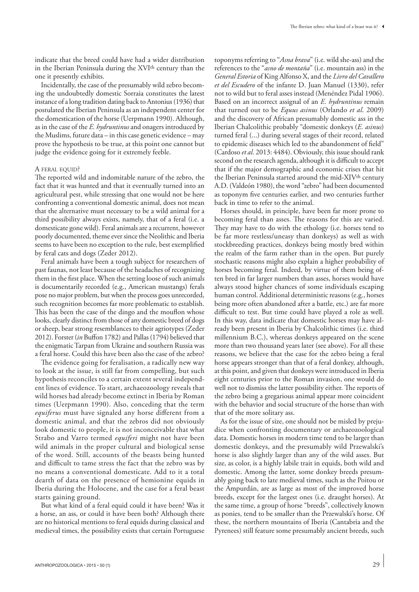indicate that the breed could have had a wider distribution in the Iberian Peninsula during the XVIth century than the one it presently exhibits.

Incidentally, the case of the presumably wild zebro becoming the undoubtedly domestic Sorraia constitutes the latest instance of a long tradition dating back to Antonius (1936) that postulated the Iberian Peninsula as an independent center for the domestication of the horse (Uerpmann 1990). Although, as in the case of the *E. hydruntinus* and onagers introduced by the Muslims, future data – in this case genetic evidence – may prove the hypothesis to be true, at this point one cannot but judge the evidence going for it extremely feeble.

## A FERAL EQUID?

The reported wild and indomitable nature of the zebro, the fact that it was hunted and that it eventually turned into an agricultural pest, while stressing that one would not be here confronting a conventional domestic animal, does not mean that the alternative must necessary to be a wild animal for a third possibility always exists, namely, that of a feral (i.e. a domesticate gone wild). Feral animals are a recurrent, however poorly documented, theme ever since the Neolithic and Iberia seems to have been no exception to the rule, best exemplified by feral cats and dogs (Zeder 2012).

Feral animals have been a tough subject for researchers of past faunas, not least because of the headaches of recognizing them in the first place. When the setting loose of such animals is documentarily recorded (e.g., American mustangs) ferals pose no major problem, but when the process goes unrecorded, such recognition becomes far more problematic to establish. This has been the case of the dingo and the mouflon whose looks, clearly distinct from those of any domestic breed of dogs or sheep, bear strong resemblances to their agriotypes (Zeder 2012). Forster (*in* Buffon 1782) and Pallas (1794) believed that the enigmatic Tarpan from Ukraine and southern Russia was a feral horse. Could this have been also the case of the zebro?

The evidence going for feralisation, a radically new way to look at the issue, is still far from compelling, but such hypothesis reconciles to a certain extent several independent lines of evidence. To start, archaeozoology reveals that wild horses had already become extinct in Iberia by Roman times (Uerpmann 1990). Also, conceding that the term *equiferus* must have signaled any horse different from a domestic animal, and that the zebros did not obviously look domestic to people, it is not inconceivable that what Strabo and Varro termed *equiferi* might not have been wild animals in the proper cultural and biological sense of the word. Still, accounts of the beasts being hunted and difficult to tame stress the fact that the zebro was by no means a conventional domesticate. Add to it a total dearth of data on the presence of hemionine equids in Iberia during the Holocene, and the case for a feral beast starts gaining ground.

But what kind of a feral equid could it have been? Was it a horse, an ass, or could it have been both? Although there are no historical mentions to feral equids during classical and medieval times, the possibility exists that certain Portuguese

toponyms referring to "*Asna brava*" (i.e. wild she-ass) and the references to the "*asno de montaña*" (i.e. mountain ass) in the *General Estoria* of King Alfonso X, and the *Livro del Cavallero et del Escudero* of the infante D. Juan Manuel (1330), refer not to wild but to feral asses instead (Menéndez Pidal 1906). Based on an incorrect assignal of an *E. hydruntinus* remain that turned out to be *Equus asinus* (Orlando *et al*. 2009) and the discovery of African presumably domestic ass in the Iberian Chalcolithic probably "domestic donkeys (*E. asinus*) turned feral (...) during several stages of their record, related to epidemic diseases which led to the abandonment of field" (Cardoso *et al*. 2013: 4484). Obviously, this issue should rank second on the research agenda, although it is difficult to accept that if the major demographic and economic crises that hit the Iberian Peninsula started around the mid-XIV<sup>th</sup> century A.D. (Valdeón 1980), the word "zebro" had been documented as toponym five centuries earlier, and two centuries further back in time to refer to the animal.

Horses should, in principle, have been far more prone to becoming feral than asses. The reasons for this are varied. They may have to do with the ethology (i.e. horses tend to be far more restless/uneasy than donkeys) as well as with stockbreeding practices, donkeys being mostly bred within the realm of the farm rather than in the open. But purely stochastic reasons might also explain a higher probability of horses becoming feral. Indeed, by virtue of them being often bred in far larger numbers than asses, horses would have always stood higher chances of some individuals escaping human control. Additional deterministic reasons (e.g., horses being more often abandoned after a battle, etc.) are far more difficult to test. But time could have played a role as well. In this way, data indicate that domestic horses may have already been present in Iberia by Chalcolithic times (i.e. third millennium B.C.), whereas donkeys appeared on the scene more than two thousand years later (see above). For all these reasons, we believe that the case for the zebro being a feral horse appears stronger than that of a feral donkey, although, at this point, and given that donkeys were introduced in Iberia eight centuries prior to the Roman invasion, one would do well not to dismiss the latter possibility either. The reports of the zebro being a gregarious animal appear more coincident with the behavior and social structure of the horse than with that of the more solitary ass.

As for the issue of size, one should not be misled by prejudice when confronting documentary or archaeozoological data. Domestic horses in modern time tend to be larger than domestic donkeys, and the presumably wild Przewalski's horse is also slightly larger than any of the wild asses. But size, as color, is a highly labile trait in equids, both wild and domestic. Among the latter, some donkey breeds presumably going back to late medieval times, such as the Poitou or the Ampurdán, are as large as most of the improved horse breeds, except for the largest ones (i.e. draught horses). At the same time, a group of horse "breeds", collectively known as ponies, tend to be smaller than the Przewalski's horse. Of these, the northern mountains of Iberia (Cantabria and the Pyrenees) still feature some presumably ancient breeds, such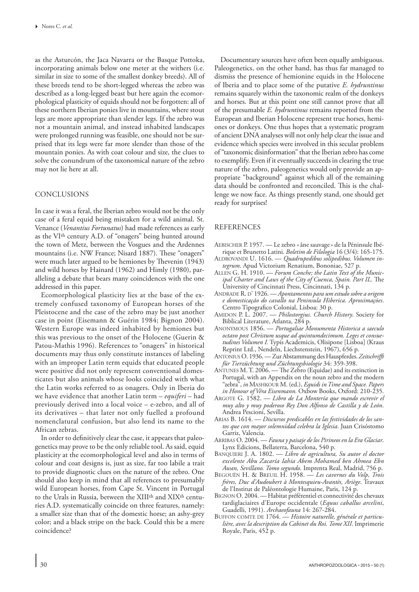as the Asturcón, the Jaca Navarra or the Basque Pottoka, incorporating animals below one meter at the withers (i.e. similar in size to some of the smallest donkey breeds). All of these breeds tend to be short-legged whereas the zebro was described as a long-legged beast but here again the ecomorphological plasticity of equids should not be forgotten: all of these northern Iberian ponies live in mountains, where stout legs are more appropriate than slender legs. If the zebro was not a mountain animal, and instead inhabited landscapes were prolonged running was feasible, one should not be surprised that its legs were far more slender than those of the mountain ponies. As with coat colour and size, the clues to solve the conundrum of the taxonomical nature of the zebro may not lie here at all.

## CONCLUSIONS

In case it was a feral, the Iberian zebro would not be the only case of a feral equid being mistaken for a wild animal. St. Venance (*Venantius Fortunatus*) had made references as early as the VIth century A.D. of "onagers" being hunted around the town of Metz, between the Vosgues and the Ardennes mountains (i.e. NW France; Nisard 1887). These "onagers" were much later argued to be hemiones by Thevenin (1943) and wild horses by Hainard (1962) and Himly (1980), paralleling a debate that bears many coincidences with the one addressed in this paper.

Ecomorphological plasticity lies at the base of the extremely confused taxonomy of European horses of the Pleistocene and the case of the zebro may be just another case in point (Eisemann & Guérin 1984; Bignon 2004). Western Europe was indeed inhabited by hemiones but this was previous to the onset of the Holocene (Guerin & Patou-Mathis 1996). References to "onagers" in historical documents may thus only constitute instances of labeling with an improper Latin term equids that educated people were positive did not only represent conventional domesticates but also animals whose looks coincided with what the Latin works referred to as onagers. Only in Iberia do we have evidence that another Latin term – *equiferi* – had previously derived into a local voice – e-zebro, and all of its derivatives – that later not only fuelled a profound nomenclatural confusion, but also lend its name to the African zebras.

In order to definitively clear the case, it appears that paleogenetics may prove to be the only reliable tool. As said, equid plasticity at the ecomorphological level and also in terms of colour and coat designs is, just as size, far too labile a trait to provide diagnostic clues on the nature of the zebro. One should also keep in mind that all references to presumably wild European horses, from Cape St. Vincent in Portugal to the Urals in Russia, between the XIIIth and XIXth centuries A.D. systematically coincide on three features, namely: a smaller size than that of the domestic horse; an ashy-grey color; and a black stripe on the back. Could this be a mere coincidence?

Documentary sources have often been equally ambiguous. Paleogenetics, on the other hand, has thus far managed to dismiss the presence of hemionine equids in the Holocene of Iberia and to place some of the putative *E. hydruntinus* remains squarely within the taxonomic realm of the donkeys and horses. But at this point one still cannot prove that all of the presumable *E. hydruntinus* remains reported from the European and Iberian Holocene represent true horses, hemiones or donkeys. One thus hopes that a systematic program of ancient DNA analyses will not only help clear the issue and evidence which species were involved in this secular problem of "taxonomic disinformation" that the Iberian zebro has come to exemplify. Even if it eventually succeeds in clearing the true nature of the zebro, paleogenetics would only provide an appropriate "background" against which all of the remaining data should be confronted and reconciled. This is the challenge we now face. As things presently stand, one should get ready for surprises!

## REFERENCES

- Aebischer P. 1957. Le zebro « âne sauvage» de la Péninsule Ibérique et Brunetto Latini. *Boletim de Filologia* 16 (3/4): 165-175.
- ALDROVANDI U. 1616. *Quadrupedibus solipedibus. Volumen integrum*. Apud Victorium Renatium, Bononiae, 527 p.
- Allen G. H. 1910. *Forum Conche; the Latin Text of the Municipal Charter and Laws of the City of Cuenca, Spain. Part IL*. The University of Cincinnati Press, Cincinnati, 134 p.
- ANDRADE R. D' 1926. *Apontamentos para um estudo sobre a origem e domesticação do cavallo na Peninsula Hiberica. Aproximações*. Centro Tipografico Colonial, Lisboa: 30 p.
- Amidon P. L. 2007. *Philostorgius. Church History*. Society for Biblical Literature, Atlanta, 284 p.
- Anonymous 1856. *Portugaliae Monumenta Historica a saeculo octavo post Christum usque ad quintumdecimum. Leges et consuetudines Volumen I.* Typis Academicis, Olisipone [Lisboa] (Kraus Reprint Ltd., Nendeln, Liechstenstein, 1967), 656 p.
- AntoniusO. 1936. Zur Abstammung des Hauspferdes. *Zeitschrifft für Tierzüchtung und Züchtungsbiologie* 34: 359-398.
- ANTUNES M. T. 2006. The Zebro (Equidae) and its extinction in Portugal, with an Appendix on the noun zebro and the modern "zebra", *in* Mashkour M. (ed.), *Equids in Time and Space. Papers in Honour of Véra Eisenmann.* Oxbow Books, Oxford: 210-235.
- Argote G. 1582. *Libro de La Montería que mando escrevir el muy alto y muy poderoso Rey Don Alfonso de Castilla y de León*. Andrea Pescioni, Sevilla.
- Arias B. 1614. *Discursos predicables en las festividades de los santos que con mayor solemnidad celebra la Iglesia*. Juan Crisóstomo Garriz, Valencia.
- Arribas O. 2004. *Fauna y paisaje de los Pirineos en la Era Glaciar*. Lynx Edicions, Bellaterra, Barcelona, 540 p.
- Banquieri J. A. 1802. *Libro de agricultura, Su autor el doctor excelente Abu Zacaría Iahia Abem Mohamed ben Ahmea Ebn Awan, Sevillano. Tomo segundo*. Imprenta Real, Madrid, 756 p.
- Begouën H. & Breuil H. 1958. *Les cavernes du Volp, Trois frères, Duc d'Audoubert à Montesquieu-Avantès, Ariège*. Travaux de l'Institut de Paléontologie Humaine, Paris, 124 p.
- Bignon O. 2004. Habitat préférentiel et connectivité des chevaux tardiglaciaires d'Europe occidentale (*Equus caballus arcelini*, Guadelli, 1991). *Archaeofauna* 14: 267-284.
- BUFFON COMTE DE 1764. Histoire naturelle, générale et particu*lière, avec la description du Cabinet du Roi. Tome XII*. Imprimerie Royale, Paris, 452 p.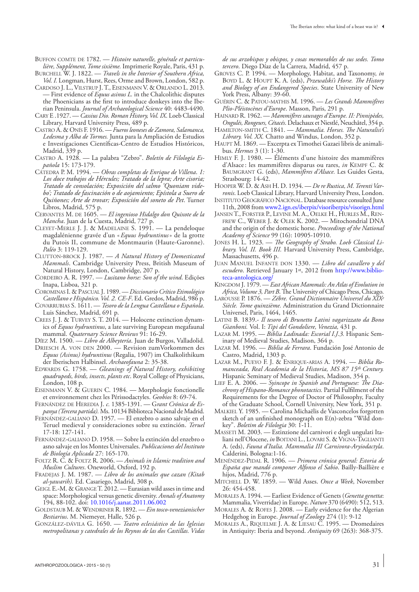BUFFON COMTE DE 1782. - Histoire naturelle, générale et particu*lière, Supplément, Tome sixième.* Imprimerie Royale, Paris, 431 p.

- Burchell W. J. 1822. *Travels in the Interior of Southern Africa, Vol. I.* Longman, Hurst, Rees, Orme and Brown, London, 582 p.
- Cardoso J. L., Vilstrup J. T., Eisenmann V. & Orlando L. 2013. — First evidence of *Equus asinus L.* in the Chalcolithic disputes the Phoenicians as the first to introduce donkeys into the Iberian Peninsula. *Journal of Archaeological Science* 40: 4483-4490.
- Cary E .1927. *Cassius Dio. Roman History, Vol. IX*. Loeb Classical Library, Harvard University Press, 489 p.
- Castro A. & Onís F. 1916. *Fueros leoneses de Zamora, Salamanca, Ledesma y Alba de Tormes.* Junta para la Ampliación de Estudios e Investigaciones Científicas-Centro de Estudios Históricos, Madrid, 339 p.
- Castro A. 1928. La palabra "Zebro". *Boletín de Filología Española* 15: 173-179.
- Cátedra P. M. 1994. *Obras completas de Enrique de Villena*. *1: Los doce trabajos de Hércules; Tratado de la lepra; Arte cisoria; Tratado de consolación; Exposición del salmo 'Quoniam videbo'; Tratado de fascinación o de aojamiento; Epístola a Suero de Quiñones; Arte de trovar; Exposición del soneto de Pet*. Turner Libros, Madrid, 575 p.
- CERVANTES M. DE 1605. *El ingenioso Hidalgo don Quixote de la Mancha*. Juan de la Cuesta, Madrid, 727 p.
- Cleyet-Merle J. J. & Madelaine S. 1991. La pendeloque magdalénienne gravée d'un «*Equus hydruntinus*» de la grotte du Putois II, commune de Montmaurin (Haute-Garonne). *Paléo* 3: 119-129.
- Clutton-brock J. 1987. *A Natural History of Domesticated Mammals*. Cambridge University Press, British Museum of Natural History, London, Cambridge, 207 p.
- Cordeiro A. R. 1997. *Lusitano horse: Son of the wind*. Edições Inapa, Lisboa, 321 p.
- Corominas I. & Pascual J. 1989. *Diccionario Crítico Etimológico Castellano e Hispánico. Vol. 2. CE-F*. Ed. Gredos, Madrid, 986 p.
- Covarrubias S. 1611. *Tesoro de la Lengua Castellana o Española*. Luis Sánchez, Madrid, 691 p.
- Crees J. J. & Turvey S. T. 2014. Holocene extinction dynamics of *Equus hydruntinus*, a late surviving European megafaunal mammal. *Quaternary Science Reviews* 91: 16-29.

Díez M. 1500. — *Libro de Albeytería*. Juan de Burgos, Valladolid. DRIESCH A. VON DEN 2000. - Revision zumVorkommen des

- *Equus (Asinus) hydruntinus* (Regalia, 1907) im Chalkolithikum der Iberischen Halbinsel. *Archaeofauna* 2: 35-38.
- Edwards G. 1758. *Gleanings of Natural History, exhibiting quadrupeds, birds, insects, plants etc*. Royal College of Physicians, London, 108 p.
- Eisenmann V. & Guerin C. 1984. Morphologie fonctionelle et environnement chez les Périssodactyles. *Geobios* 8: 69-74.

Fernández de Heredia J. *c.* 1385-1391. — G*rant Crónica de Espanya (Tercera partida).* Ms. 10134 Biblioteca Nacional de Madrid.

- Fernández-galiano D. 1957. El enzebro o asno salvaje en el Teruel medieval y consideraciones sobre su extinción. *Teruel* 17-18: 127-141.
- Fernández-galiano D. 1958. Sobre la extinción del enzebro o asno salvaje en los Montes Universales. *Publicaciones del Instituto de Biología Aplicada* 27: 165-170.
- Foltz R. C. & Foltz R. 2006. *Animals in Islamic tradition and Muslim Cultures*. Oneworld, Oxford, 192 p.
- Fradejas J. M. 1987. *Libro de los animales que cazan (Kitab al-yawarih).* Ed. Casariego, Madrid, 308 p.
- GEIGL E.-M. & GRANGE T. 2012. Eurasian wild asses in time and space: Morphological versus genetic diversity. *Annals of Anatomy* 194, 88-102. doi: [10.1016/j.aanat.2011.06.002](http://dx.doi.org/10.1016/j.aanat.2011.06.002)
- Goldstaub M. & Wendriner R. 1892. *Ein tosco-venezianischer Bestiarius*. M. Niemeyer, Halle, 526 p.
- González-dávila G. 1650. *Teatro eclesiástico de las Iglesias metropolitanas y catedrales de los Reynos de las dos Castillas. Vidas*

*de sus arzobispos y obispos, y cosas memorables de sus sedes. Tomo tercero*. Diego Díaz de la Carrera, Madrid, 457 p.

- Groves C. P. 1994. Morphology, Habitat, and Taxonomy, *in* Boyd L. & Houpt K. A. (eds), *Przewalski's Horse. The History and Biology of an Endangered Species*. State University of New York Press, Albany: 39-60.
- Guérin C. & Patou-mathis M. 1996. *Les Grands Mammifères Plio-Pléistocènes d'Europe*. Masson, Paris, 291 p.
- Hainard R. 1962. *Mammifères sauvages d'Europe. II: Pinnipèdes, Ongulés, Rongeurs, Cétacés*. Delachaux et Niestlé, Neuchâtel, 354 p.
- Hamilton-smith C. 1841. *Mammalia. Horses. The Naturalist's Library. Vol. XX.* Chatto and Windus, London, 352 p.
- HAUPT M. 1869. Excerpta ex Timothei Gazaei libris de animalibus. *Hermes* 3 (1): 1-30.
- Himly F. J. 1980. Éléments d'une histoire des mammifères d'Alsace: les mammifères disparus ou rares, *in* Kempf C. & Baumgrant G. (eds), *Mammifères d'Alsace.* Les Guides Gesta, Strasbourg: 14-42.
- Hooper W. D. & Ash H. D. 1934. *De re Rustica, M. Terenti Varronis*. Loeb Classical Library, Harvard University Press, London.
- INSTITUTO GEOGRÁFICO NACIONAL. Database resource consulted June 11th, 2008 from [www2.ign.es/iberpix/visoriberpix/visorign.html](http://www2.ign.es/iberpix/visoriberpix/visorign.html)
- Jansen T., Forster P., Levine M. A., Oelke H., Hurles M., Ren-FREW C., WEBER J. & OLEK K. 2002. - Mitochondrial DNA and the origin of the domestic horse. *Proceedings of the National Academy of Science* 99 (16): 10905-10910.
- Jones H. L. 1923. — *The Geography of Strabo. Loeb Classical Library. Vol. II. Book III.* Harvard University Press, Cambridge, Massachusetts, 496 p.
- Juan Manuel Infante don 1330. *Libro del cavallero y del escudero*. Retrieved January 1st, 2012 from [http://www.biblio](http://www.biblioteca-antologica.org/wp-content/uploads/2009/09/DON-JUAN-MANUEL-Libro-del-Caballero-y-del-Escudero.pdf)[teca-antologica.org/](http://www.biblioteca-antologica.org/wp-content/uploads/2009/09/DON-JUAN-MANUEL-Libro-del-Caballero-y-del-Escudero.pdf)
- Kingdom J. 1979. *East African Mammals: An Atlas of Evolution in Africa, Volume 3, Part B.* The University of Chicago Press, Chicago.
- Larousse P. 1876. *Zébre. Grand Dictionnaire Universel du XIXe Siècle. Tome quinzième.* Administration du Grand Dictionnaire Universel, Paris, 1464, 1465.
- Latini B. 1839.- *Il tesoro di Brunetto Latini vagarizzato da Bono Gianboni.* Vol. I: *Tipi del Gondoliere, Venezia,* 431 p.
- Lazar M. 1995. *Biblia Ladinada: Escorial I.J.3.* Hispanic Seminary of Medieval Studies, Madison, 364 p.
- Lazar M. 1996. *Biblia de Ferrara*. Fundación José Antonio de Castro, Madrid, 1303 p.
- Lazar M., Pueyo F. J. & Enrique-arias A. 1994. *Biblia Romanceada, Real Academia de la Historia, MS 87 15th Century.* Hispanic Seminary of Medieval Studies, Madison, 354 p.
- Lief E. A. 2006. *Syincope in Spanish and Portuguese: The Diachrony of Hispano-Romance phonotactics.* Partial Fulfilment of the Requirements for the Degree of Doctor of Philosophy, Faculty of the Graduate School, Cornell University, New York, 351 p.
- Malkiel Y. 1985. Carolina Michaëlis de Vasconcelos forgotten sketch of an unfinished monograph on E(n)-zebra "Wild donkey". *Boletim de Filologia* 30: 1-11.
- MASSETI M. 2003. Estinzione del carnivori e degli ungulati Italiani nell'Olocene, *in* BOITANI L., LOVARI S. & VIGNA-TAGLIANTI A. (eds), *Fauna d'Italia. Mammalia III Carnivora-Aryiodactyla*. Calderini, Bologna:1-16.
- Menéndez-Pidal R. 1906. *Primera crónica general: Estoria de España que mandó componer Alfonso el Sabio*. Bailly-Baillière e hijos, Madrid, 776 p.
- Mitchell D. W. 1859. Wild Asses. *Once a Week*, November 26: 454-458.
- Morales A. 1994. Earliest Evidence of Genets (*Genetta genetta*: Mammalia, Viverridae) in Europe. *Nature* 370 (6490): 512, 513.
- Morales A. & Rofes J. 2008. Early evidence for the Algerian Hedgehog in Europe. *Journal of Zoology* 274 (1): 9-12
- Morales A., Riquelme J. A. & Liesau C. 1995. Dromedaires in Antiquity: Iberia and beyond. *Antiquity* 69 (263): 368-375.